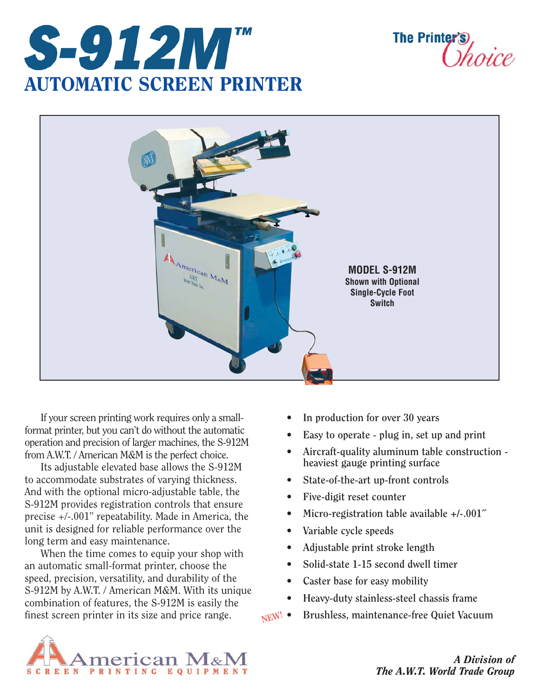

**The Printer** 



If your screen printing work requires only a smallformat printer, but you can't do without the automatic operation and precision of larger machines, the S-912M from A.W.T. / American M&M is the perfect choice.

Its adjustable elevated base allows the S-912M to accommodate substrates of varying thickness. And with the optional micro-adjustable table, the S-912M provides registration controls that ensure precise +/-.001" repeatability. Made in America, the unit is designed for reliable performance over the long term and easy maintenance.

When the time comes to equip your shop with an automatic small-format printer, choose the speed, precision, versatility, and durability of the S-912M by A.W.T. / American M&M. With its unique combination of features, the S-912M is easily the finest screen printer in its size and price range.

- **In production for over 30 years**
- **Easy to operate plug in, set up and print**
- **Aircraft-quality aluminum table construction heaviest gauge printing surface**
- **State-of-the-art up-front controls**
- **Five-digit reset counter**
- **Micro-registration table available +/-.001˝**
- **Variable cycle speeds**
- **Adjustable print stroke length**
- **Solid-state 1-15 second dwell timer**
- **Caster base for easy mobility**
- **Heavy-duty stainless-steel chassis frame**
- **Brushless, maintenance-free Quiet Vacuum NEW!**



*A Division of The A.W.T. World Trade Group*